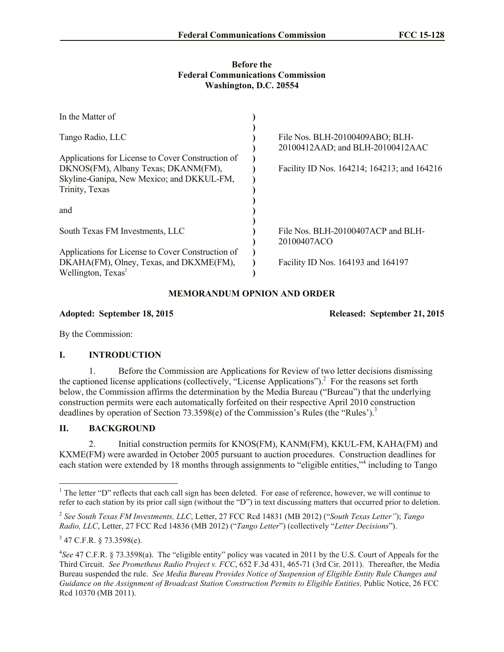#### **Before the Federal Communications Commission Washington, D.C. 20554**

| In the Matter of                                  |                                                                     |
|---------------------------------------------------|---------------------------------------------------------------------|
| Tango Radio, LLC                                  | File Nos. BLH-20100409ABO; BLH-<br>20100412AAD; and BLH-20100412AAC |
| Applications for License to Cover Construction of |                                                                     |
| DKNOS(FM), Albany Texas; DKANM(FM),               | Facility ID Nos. 164214; 164213; and 164216                         |
| Skyline-Ganipa, New Mexico; and DKKUL-FM,         |                                                                     |
| Trinity, Texas                                    |                                                                     |
|                                                   |                                                                     |
| and                                               |                                                                     |
|                                                   |                                                                     |
| South Texas FM Investments, LLC                   | File Nos. BLH-20100407ACP and BLH-                                  |
|                                                   | 20100407ACO                                                         |
| Applications for License to Cover Construction of |                                                                     |
| DKAHA(FM), Olney, Texas, and DKXME(FM),           | Facility ID Nos. 164193 and 164197                                  |
| Wellington, Texas <sup>1</sup>                    |                                                                     |

# **MEMORANDUM OPNION AND ORDER**

#### **Adopted: September 18, 2015 Released: September 21, 2015**

By the Commission:

## **I. INTRODUCTION**

1. Before the Commission are Applications for Review of two letter decisions dismissing the captioned license applications (collectively, "License Applications").<sup>2</sup> For the reasons set forth below, the Commission affirms the determination by the Media Bureau ("Bureau") that the underlying construction permits were each automatically forfeited on their respective April 2010 construction deadlines by operation of Section 73.3598(e) of the Commission's Rules (the "Rules").<sup>3</sup>

## **II. BACKGROUND**

2. Initial construction permits for KNOS(FM), KANM(FM), KKUL-FM, KAHA(FM) and KXME(FM) were awarded in October 2005 pursuant to auction procedures. Construction deadlines for each station were extended by 18 months through assignments to "eligible entities,"<sup>4</sup> including to Tango

l

<sup>&</sup>lt;sup>1</sup> The letter "D" reflects that each call sign has been deleted. For ease of reference, however, we will continue to refer to each station by its prior call sign (without the "D") in text discussing matters that occurred prior to deletion.

<sup>2</sup> *See South Texas FM Investments, LLC*, Letter, 27 FCC Rcd 14831 (MB 2012) ("*South Texas Letter"*); *Tango Radio, LLC*, Letter, 27 FCC Rcd 14836 (MB 2012) ("*Tango Letter*") (collectively "*Letter Decisions*").

 $347$  C.F.R. § 73.3598(e).

<sup>4</sup> *See* 47 C.F.R. § 73.3598(a). The "eligible entity" policy was vacated in 2011 by the U.S. Court of Appeals for the Third Circuit. *See Prometheus Radio Project v. FCC*, 652 F.3d 431, 465-71 (3rd Cir. 2011). Thereafter, the Media Bureau suspended the rule. *See Media Bureau Provides Notice of Suspension of Eligible Entity Rule Changes and Guidance on the Assignment of Broadcast Station Construction Permits to Eligible Entities,* Public Notice, 26 FCC Rcd 10370 (MB 2011).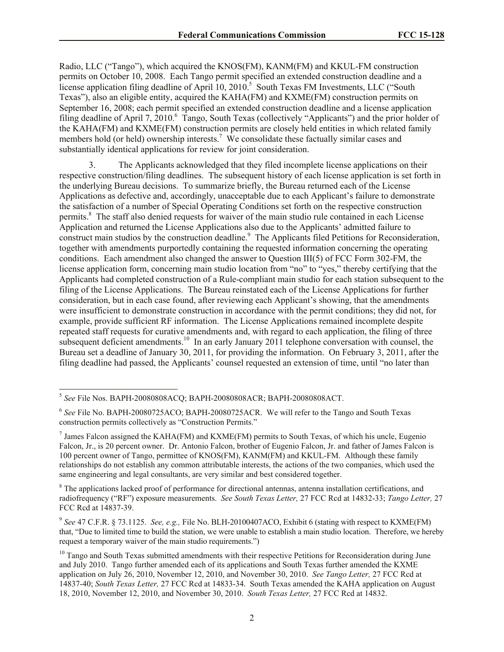Radio, LLC ("Tango"), which acquired the KNOS(FM), KANM(FM) and KKUL-FM construction permits on October 10, 2008. Each Tango permit specified an extended construction deadline and a license application filing deadline of April  $10$ ,  $2010$ .<sup>5</sup> South Texas FM Investments, LLC ("South Texas"), also an eligible entity, acquired the KAHA(FM) and KXME(FM) construction permits on September 16, 2008; each permit specified an extended construction deadline and a license application filing deadline of April 7, 2010.  $\overline{a}$  Tango, South Texas (collectively "Applicants") and the prior holder of the KAHA(FM) and KXME(FM) construction permits are closely held entities in which related family members hold (or held) ownership interests.<sup>7</sup> We consolidate these factually similar cases and substantially identical applications for review for joint consideration.

3. The Applicants acknowledged that they filed incomplete license applications on their respective construction/filing deadlines. The subsequent history of each license application is set forth in the underlying Bureau decisions. To summarize briefly, the Bureau returned each of the License Applications as defective and, accordingly, unacceptable due to each Applicant's failure to demonstrate the satisfaction of a number of Special Operating Conditions set forth on the respective construction permits.<sup>8</sup> The staff also denied requests for waiver of the main studio rule contained in each License Application and returned the License Applications also due to the Applicants' admitted failure to construct main studios by the construction deadline.<sup>9</sup> The Applicants filed Petitions for Reconsideration, together with amendments purportedly containing the requested information concerning the operating conditions. Each amendment also changed the answer to Question III(5) of FCC Form 302-FM, the license application form, concerning main studio location from "no" to "yes," thereby certifying that the Applicants had completed construction of a Rule-compliant main studio for each station subsequent to the filing of the License Applications. The Bureau reinstated each of the License Applications for further consideration, but in each case found, after reviewing each Applicant's showing, that the amendments were insufficient to demonstrate construction in accordance with the permit conditions; they did not, for example, provide sufficient RF information. The License Applications remained incomplete despite repeated staff requests for curative amendments and, with regard to each application, the filing of three subsequent deficient amendments.<sup>10</sup> In an early January 2011 telephone conversation with counsel, the Bureau set a deadline of January 30, 2011, for providing the information. On February 3, 2011, after the filing deadline had passed, the Applicants' counsel requested an extension of time, until "no later than

<sup>8</sup> The applications lacked proof of performance for directional antennas, antenna installation certifications, and radiofrequency ("RF") exposure measurements. *See South Texas Letter,* 27 FCC Rcd at 14832-33; *Tango Letter,* 27 FCC Rcd at 14837-39.

 5 *See* File Nos. BAPH-20080808ACQ; BAPH-20080808ACR; BAPH-20080808ACT.

<sup>6</sup> *See* File No. BAPH-20080725ACO; BAPH-20080725ACR. We will refer to the Tango and South Texas construction permits collectively as "Construction Permits."

 $<sup>7</sup>$  James Falcon assigned the KAHA(FM) and KXME(FM) permits to South Texas, of which his uncle, Eugenio</sup> Falcon, Jr., is 20 percent owner. Dr. Antonio Falcon, brother of Eugenio Falcon, Jr. and father of James Falcon is 100 percent owner of Tango, permittee of KNOS(FM), KANM(FM) and KKUL-FM. Although these family relationships do not establish any common attributable interests, the actions of the two companies, which used the same engineering and legal consultants, are very similar and best considered together.

<sup>9</sup> *See* 47 C.F.R. § 73.1125. *See, e.g.,* File No. BLH-20100407ACO, Exhibit 6 (stating with respect to KXME(FM) that, "Due to limited time to build the station, we were unable to establish a main studio location. Therefore, we hereby request a temporary waiver of the main studio requirements.")

<sup>&</sup>lt;sup>10</sup> Tango and South Texas submitted amendments with their respective Petitions for Reconsideration during June and July 2010. Tango further amended each of its applications and South Texas further amended the KXME application on July 26, 2010, November 12, 2010, and November 30, 2010. *See Tango Letter,* 27 FCC Rcd at 14837-40; *South Texas Letter,* 27 FCC Rcd at 14833-34. South Texas amended the KAHA application on August 18, 2010, November 12, 2010, and November 30, 2010. *South Texas Letter,* 27 FCC Rcd at 14832.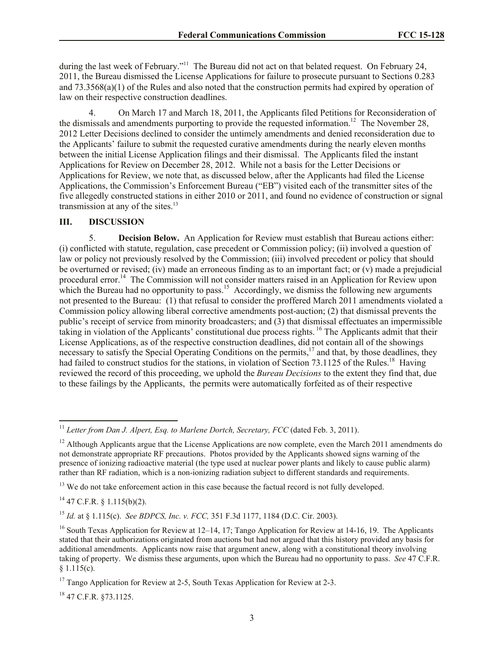during the last week of February."<sup>11</sup> The Bureau did not act on that belated request. On February 24, 2011, the Bureau dismissed the License Applications for failure to prosecute pursuant to Sections 0.283 and 73.3568(a)(1) of the Rules and also noted that the construction permits had expired by operation of law on their respective construction deadlines.

4. On March 17 and March 18, 2011, the Applicants filed Petitions for Reconsideration of the dismissals and amendments purporting to provide the requested information.<sup>12</sup> The November 28, 2012 Letter Decisions declined to consider the untimely amendments and denied reconsideration due to the Applicants' failure to submit the requested curative amendments during the nearly eleven months between the initial License Application filings and their dismissal. The Applicants filed the instant Applications for Review on December 28, 2012. While not a basis for the Letter Decisions or Applications for Review, we note that, as discussed below, after the Applicants had filed the License Applications, the Commission's Enforcement Bureau ("EB") visited each of the transmitter sites of the five allegedly constructed stations in either 2010 or 2011, and found no evidence of construction or signal transmission at any of the sites.<sup>13</sup>

## **III. DISCUSSION**

5. **Decision Below.** An Application for Review must establish that Bureau actions either: (i) conflicted with statute, regulation, case precedent or Commission policy; (ii) involved a question of law or policy not previously resolved by the Commission; (iii) involved precedent or policy that should be overturned or revised; (iv) made an erroneous finding as to an important fact; or (v) made a prejudicial procedural error.<sup>14</sup> The Commission will not consider matters raised in an Application for Review upon which the Bureau had no opportunity to pass.<sup>15</sup> Accordingly, we dismiss the following new arguments not presented to the Bureau: (1) that refusal to consider the proffered March 2011 amendments violated a Commission policy allowing liberal corrective amendments post-auction; (2) that dismissal prevents the public's receipt of service from minority broadcasters; and (3) that dismissal effectuates an impermissible taking in violation of the Applicants' constitutional due process rights. <sup>16</sup> The Applicants admit that their License Applications, as of the respective construction deadlines, did not contain all of the showings necessary to satisfy the Special Operating Conditions on the permits,<sup>17</sup> and that, by those deadlines, they had failed to construct studios for the stations, in violation of Section 73.1125 of the Rules.<sup>18</sup> Having reviewed the record of this proceeding, we uphold the *Bureau Decisions* to the extent they find that, due to these failings by the Applicants, the permits were automatically forfeited as of their respective

<sup>13</sup> We do not take enforcement action in this case because the factual record is not fully developed.

 $14$  47 C.F.R. § 1.115(b)(2).

l

<sup>15</sup> *Id.* at § 1.115(c). *See BDPCS, Inc. v. FCC,* 351 F.3d 1177, 1184 (D.C. Cir. 2003).

<sup>18</sup> 47 C.F.R. §73.1125.

<sup>&</sup>lt;sup>11</sup> Letter from Dan J. Alpert, Esq. to Marlene Dortch, Secretary, FCC (dated Feb. 3, 2011).

<sup>&</sup>lt;sup>12</sup> Although Applicants argue that the License Applications are now complete, even the March 2011 amendments do not demonstrate appropriate RF precautions. Photos provided by the Applicants showed signs warning of the presence of ionizing radioactive material (the type used at nuclear power plants and likely to cause public alarm) rather than RF radiation, which is a non-ionizing radiation subject to different standards and requirements.

<sup>&</sup>lt;sup>16</sup> South Texas Application for Review at 12–14, 17; Tango Application for Review at 14-16, 19. The Applicants stated that their authorizations originated from auctions but had not argued that this history provided any basis for additional amendments. Applicants now raise that argument anew, along with a constitutional theory involving taking of property. We dismiss these arguments, upon which the Bureau had no opportunity to pass. *See* 47 C.F.R.  $§ 1.115(c).$ 

<sup>&</sup>lt;sup>17</sup> Tango Application for Review at 2-5, South Texas Application for Review at 2-3.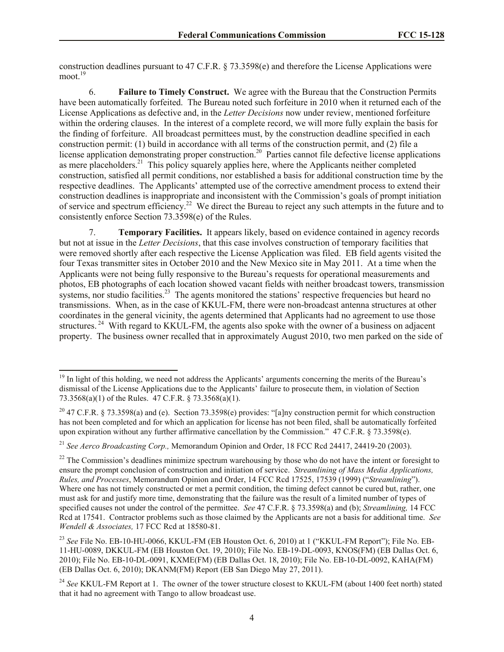construction deadlines pursuant to 47 C.F.R. § 73.3598(e) and therefore the License Applications were moot.<sup>19</sup>

6. **Failure to Timely Construct.** We agree with the Bureau that the Construction Permits have been automatically forfeited. The Bureau noted such forfeiture in 2010 when it returned each of the License Applications as defective and, in the *Letter Decisions* now under review, mentioned forfeiture within the ordering clauses. In the interest of a complete record, we will more fully explain the basis for the finding of forfeiture. All broadcast permittees must, by the construction deadline specified in each construction permit: (1) build in accordance with all terms of the construction permit, and (2) file a license application demonstrating proper construction.<sup>20</sup> Parties cannot file defective license applications as mere placeholders.<sup>21</sup> This policy squarely applies here, where the Applicants neither completed construction, satisfied all permit conditions, nor established a basis for additional construction time by the respective deadlines. The Applicants' attempted use of the corrective amendment process to extend their construction deadlines is inappropriate and inconsistent with the Commission's goals of prompt initiation of service and spectrum efficiency.<sup>22</sup> We direct the Bureau to reject any such attempts in the future and to consistently enforce Section 73.3598(e) of the Rules.

7. **Temporary Facilities.** It appears likely, based on evidence contained in agency records but not at issue in the *Letter Decisions*, that this case involves construction of temporary facilities that were removed shortly after each respective the License Application was filed. EB field agents visited the four Texas transmitter sites in October 2010 and the New Mexico site in May 2011. At a time when the Applicants were not being fully responsive to the Bureau's requests for operational measurements and photos, EB photographs of each location showed vacant fields with neither broadcast towers, transmission systems, nor studio facilities.<sup>23</sup> The agents monitored the stations' respective frequencies but heard no transmissions. When, as in the case of KKUL-FM, there were non-broadcast antenna structures at other coordinates in the general vicinity, the agents determined that Applicants had no agreement to use those structures.<sup>24</sup> With regard to KKUL-FM, the agents also spoke with the owner of a business on adjacent property. The business owner recalled that in approximately August 2010, two men parked on the side of

l

 $19$  In light of this holding, we need not address the Applicants' arguments concerning the merits of the Bureau's dismissal of the License Applications due to the Applicants' failure to prosecute them, in violation of Section 73.3568(a)(1) of the Rules. 47 C.F.R. § 73.3568(a)(1).

<sup>&</sup>lt;sup>20</sup> 47 C.F.R. § 73.3598(a) and (e). Section 73.3598(e) provides: "[a]ny construction permit for which construction has not been completed and for which an application for license has not been filed, shall be automatically forfeited upon expiration without any further affirmative cancellation by the Commission." 47 C.F.R. § 73.3598(e).

<sup>21</sup> *See Aerco Broadcasting Corp.,* Memorandum Opinion and Order, 18 FCC Rcd 24417, 24419-20 (2003).

<sup>&</sup>lt;sup>22</sup> The Commission's deadlines minimize spectrum warehousing by those who do not have the intent or foresight to ensure the prompt conclusion of construction and initiation of service. *Streamlining of Mass Media Applications, Rules, and Processes*, Memorandum Opinion and Order, 14 FCC Rcd 17525, 17539 (1999) ("*Streamlining*"). Where one has not timely constructed or met a permit condition, the timing defect cannot be cured but, rather, one must ask for and justify more time, demonstrating that the failure was the result of a limited number of types of specified causes not under the control of the permittee. *See* 47 C.F.R. § 73.3598(a) and (b); *Streamlining,* 14 FCC Rcd at 17541. Contractor problems such as those claimed by the Applicants are not a basis for additional time. *See Wendell & Associates,* 17 FCC Rcd at 18580-81.

<sup>23</sup> *See* File No. EB-10-HU-0066, KKUL-FM (EB Houston Oct. 6, 2010) at 1 ("KKUL-FM Report"); File No. EB-11-HU-0089, DKKUL-FM (EB Houston Oct. 19, 2010); File No. EB-19-DL-0093, KNOS(FM) (EB Dallas Oct. 6, 2010); File No. EB-10-DL-0091, KXME(FM) (EB Dallas Oct. 18, 2010); File No. EB-10-DL-0092, KAHA(FM) (EB Dallas Oct. 6, 2010); DKANM(FM) Report (EB San Diego May 27, 2011).

<sup>&</sup>lt;sup>24</sup> See KKUL-FM Report at 1. The owner of the tower structure closest to KKUL-FM (about 1400 feet north) stated that it had no agreement with Tango to allow broadcast use.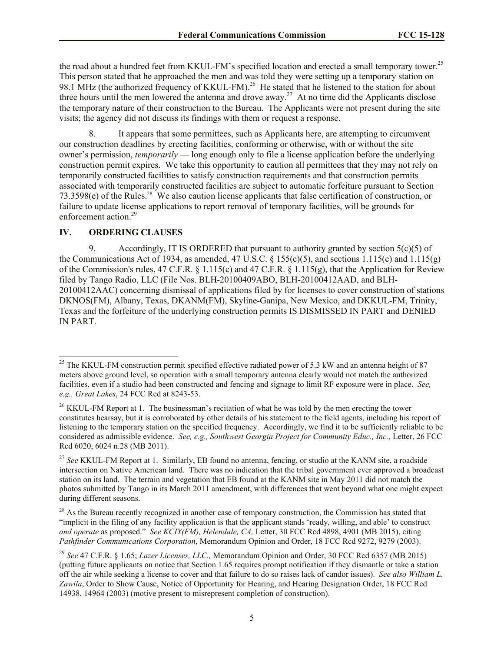the road about a hundred feet from KKUL-FM's specified location and erected a small temporary tower.<sup>25</sup> This person stated that he approached the men and was told they were setting up a temporary station on 98.1 MHz (the authorized frequency of KKUL-FM).<sup>26</sup> He stated that he listened to the station for about three hours until the men lowered the antenna and drove away.<sup>27</sup> At no time did the Applicants disclose the temporary nature of their construction to the Bureau. The Applicants were not present during the site visits; the agency did not discuss its findings with them or request a response.

8. It appears that some permittees, such as Applicants here, are attempting to circumvent our construction deadlines by erecting facilities, conforming or otherwise, with or without the site owner's permission, *temporarily* — long enough only to file a license application before the underlying construction permit expires. We take this opportunity to caution all permittees that they may not rely on temporarily constructed facilities to satisfy construction requirements and that construction permits associated with temporarily constructed facilities are subject to automatic forfeiture pursuant to Section 73.3598(e) of the Rules.<sup>28</sup> We also caution license applicants that false certification of construction, or failure to update license applications to report removal of temporary facilities, will be grounds for enforcement action.<sup>29</sup>

#### **IV. ORDERING CLAUSES**

l

9. Accordingly, IT IS ORDERED that pursuant to authority granted by section  $5(c)(5)$  of the Communications Act of 1934, as amended, 47 U.S.C.  $\S$  155(c)(5), and sections 1.115(c) and 1.115(g) of the Commission's rules, 47 C.F.R. § 1.115(c) and 47 C.F.R. § 1.115(g), that the Application for Review filed by Tango Radio, LLC (File Nos. BLH-20100409ABO, BLH-20100412AAD, and BLH-20100412AAC) concerning dismissal of applications filed by for licenses to cover construction of stations DKNOS(FM), Albany, Texas, DKANM(FM), Skyline-Ganipa, New Mexico, and DKKUL-FM, Trinity, Texas and the forfeiture of the underlying construction permits IS DISMISSED IN PART and DENIED IN PART.

<sup>&</sup>lt;sup>25</sup> The KKUL-FM construction permit specified effective radiated power of 5.3 kW and an antenna height of 87 meters above ground level, so operation with a small temporary antenna clearly would not match the authorized facilities, even if a studio had been constructed and fencing and signage to limit RF exposure were in place. *See, e.g., Great Lakes*, 24 FCC Rcd at 8243-53.

<sup>&</sup>lt;sup>26</sup> KKUL-FM Report at 1. The businessman's recitation of what he was told by the men erecting the tower constitutes hearsay, but it is corroborated by other details of his statement to the field agents, including his report of listening to the temporary station on the specified frequency. Accordingly, we find it to be sufficiently reliable to be considered as admissible evidence. *See, e.g., Southwest Georgia Project for Community Educ., Inc.,* Letter, 26 FCC Rcd 6020, 6024 n.28 (MB 2011).

<sup>27</sup> *See* KKUL-FM Report at 1. Similarly, EB found no antenna, fencing, or studio at the KANM site, a roadside intersection on Native American land. There was no indication that the tribal government ever approved a broadcast station on its land. The terrain and vegetation that EB found at the KANM site in May 2011 did not match the photos submitted by Tango in its March 2011 amendment, with differences that went beyond what one might expect during different seasons.

<sup>&</sup>lt;sup>28</sup> As the Bureau recently recognized in another case of temporary construction, the Commission has stated that "implicit in the filing of any facility application is that the applicant stands 'ready, willing, and able' to construct *and operate* as proposed." *See KCIY(FM), Helendale, CA,* Letter, 30 FCC Rcd 4898, 4901 (MB 2015), citing *Pathfinder Communications Corporation*, Memorandum Opinion and Order, 18 FCC Rcd 9272, 9279 (2003).

<sup>29</sup> *See* 47 C.F.R. § 1.65; *Lazer Licenses, LLC.,* Memorandum Opinion and Order, 30 FCC Rcd 6357 (MB 2015) (putting future applicants on notice that Section 1.65 requires prompt notification if they dismantle or take a station off the air while seeking a license to cover and that failure to do so raises lack of candor issues). *See also William L. Zawila*, Order to Show Cause, Notice of Opportunity for Hearing, and Hearing Designation Order, 18 FCC Rcd 14938, 14964 (2003) (motive present to misrepresent completion of construction).